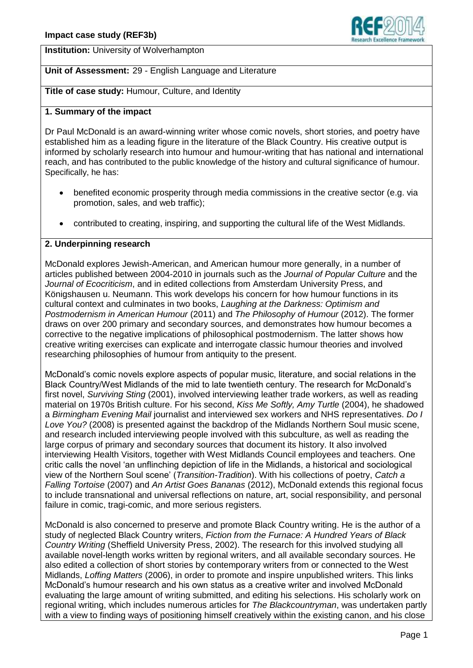

**Institution:** University of Wolverhampton

# **Unit of Assessment:** 29 - English Language and Literature

**Title of case study:** Humour, Culture, and Identity

## **1. Summary of the impact**

Dr Paul McDonald is an award-winning writer whose comic novels, short stories, and poetry have established him as a leading figure in the literature of the Black Country. His creative output is informed by scholarly research into humour and humour-writing that has national and international reach, and has contributed to the public knowledge of the history and cultural significance of humour. Specifically, he has:

- benefited economic prosperity through media commissions in the creative sector (e.g. via promotion, sales, and web traffic);
- contributed to creating, inspiring, and supporting the cultural life of the West Midlands.

# **2. Underpinning research**

McDonald explores Jewish-American, and American humour more generally, in a number of articles published between 2004-2010 in journals such as the *Journal of Popular Culture* and the *Journal of Ecocriticism*, and in edited collections from Amsterdam University Press, and Königshausen u. Neumann. This work develops his concern for how humour functions in its cultural context and culminates in two books, *Laughing at the Darkness: Optimism and Postmodernism in American Humour* (2011) and *The Philosophy of Humour* (2012). The former draws on over 200 primary and secondary sources, and demonstrates how humour becomes a corrective to the negative implications of philosophical postmodernism. The latter shows how creative writing exercises can explicate and interrogate classic humour theories and involved researching philosophies of humour from antiquity to the present.

McDonald's comic novels explore aspects of popular music, literature, and social relations in the Black Country/West Midlands of the mid to late twentieth century. The research for McDonald's first novel, *Surviving Sting* (2001), involved interviewing leather trade workers, as well as reading material on 1970s British culture. For his second, *Kiss Me Softly, Amy Turtle* (2004), he shadowed a *Birmingham Evening Mail* journalist and interviewed sex workers and NHS representatives. *Do I Love You?* (2008) is presented against the backdrop of the Midlands Northern Soul music scene, and research included interviewing people involved with this subculture, as well as reading the large corpus of primary and secondary sources that document its history. It also involved interviewing Health Visitors, together with West Midlands Council employees and teachers. One critic calls the novel 'an unflinching depiction of life in the Midlands, a historical and sociological view of the Northern Soul scene' (*Transition-Tradition*). With his collections of poetry, *Catch a Falling Tortoise* (2007) and *An Artist Goes Bananas* (2012), McDonald extends this regional focus to include transnational and universal reflections on nature, art, social responsibility, and personal failure in comic, tragi-comic, and more serious registers.

McDonald is also concerned to preserve and promote Black Country writing. He is the author of a study of neglected Black Country writers, *Fiction from the Furnace: A Hundred Years of Black Country Writing* (Sheffield University Press, 2002). The research for this involved studying all available novel-length works written by regional writers, and all available secondary sources. He also edited a collection of short stories by contemporary writers from or connected to the West Midlands, *Loffing Matters* (2006), in order to promote and inspire unpublished writers. This links McDonald's humour research and his own status as a creative writer and involved McDonald evaluating the large amount of writing submitted, and editing his selections. His scholarly work on regional writing, which includes numerous articles for *The Blackcountryman*, was undertaken partly with a view to finding ways of positioning himself creatively within the existing canon, and his close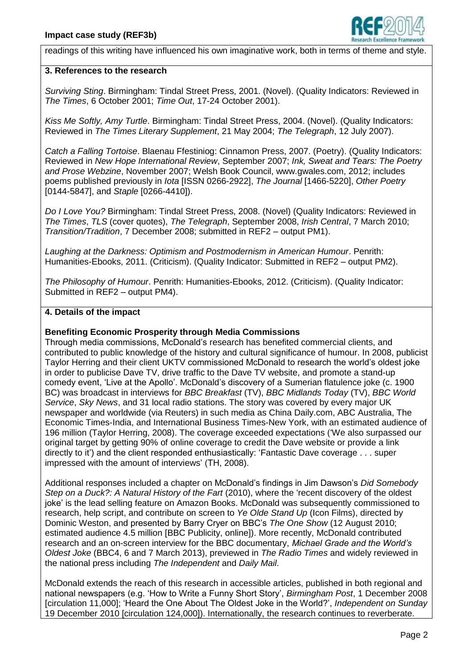

readings of this writing have influenced his own imaginative work, both in terms of theme and style.

#### **3. References to the research**

*Surviving Sting*. Birmingham: Tindal Street Press, 2001. (Novel). (Quality Indicators: Reviewed in *The Times*, 6 October 2001; *Time Out*, 17-24 October 2001).

*Kiss Me Softly, Amy Turtle*. Birmingham: Tindal Street Press, 2004. (Novel). (Quality Indicators: Reviewed in *The Times Literary Supplement*, 21 May 2004; *The Telegraph*, 12 July 2007).

*Catch a Falling Tortoise*. Blaenau Ffestiniog: Cinnamon Press, 2007. (Poetry). (Quality Indicators: Reviewed in *New Hope International Review*, September 2007; *Ink, Sweat and Tears: The Poetry and Prose Webzine*, November 2007; Welsh Book Council, www.gwales.com, 2012; includes poems published previously in *Iota* [ISSN 0266-2922], *The Journal* [1466-5220], *Other Poetry* [0144-5847], and *Staple* [0266-4410]).

*Do I Love You?* Birmingham: Tindal Street Press, 2008. (Novel) (Quality Indicators: Reviewed in *The Times*, *TLS* (cover quotes), *The Telegraph*, September 2008, *Irish Central*, 7 March 2010; *Transition/Tradition*, 7 December 2008; submitted in REF2 – output PM1).

*Laughing at the Darkness: Optimism and Postmodernism in American Humour*. Penrith: Humanities-Ebooks, 2011. (Criticism). (Quality Indicator: Submitted in REF2 – output PM2).

*The Philosophy of Humour*. Penrith: Humanities-Ebooks, 2012. (Criticism). (Quality Indicator: Submitted in REF2 – output PM4).

#### **4. Details of the impact**

#### **Benefiting Economic Prosperity through Media Commissions**

Through media commissions, McDonald's research has benefited commercial clients, and contributed to public knowledge of the history and cultural significance of humour. In 2008, publicist Taylor Herring and their client UKTV commissioned McDonald to research the world's oldest joke in order to publicise Dave TV, drive traffic to the Dave TV website, and promote a stand-up comedy event, 'Live at the Apollo'. McDonald's discovery of a Sumerian flatulence joke (c. 1900 BC) was broadcast in interviews for *BBC Breakfast* (TV), *BBC Midlands Today* (TV), *BBC World Service*, *Sky News*, and 31 local radio stations. The story was covered by every major UK newspaper and worldwide (via Reuters) in such media as China Daily.com, ABC Australia, The Economic Times-India, and International Business Times-New York, with an estimated audience of 196 million (Taylor Herring, 2008). The coverage exceeded expectations ('We also surpassed our original target by getting 90% of online coverage to credit the Dave website or provide a link directly to it') and the client responded enthusiastically: 'Fantastic Dave coverage . . . super impressed with the amount of interviews' (TH, 2008).

Additional responses included a chapter on McDonald's findings in Jim Dawson's *Did Somebody Step on a Duck?: A Natural History of the Fart* (2010), where the 'recent discovery of the oldest joke' is the lead selling feature on Amazon Books. McDonald was subsequently commissioned to research, help script, and contribute on screen to *Ye Olde Stand Up* (Icon Films), directed by Dominic Weston, and presented by Barry Cryer on BBC's *The One Show* (12 August 2010; estimated audience 4.5 million [BBC Publicity, online]). More recently, McDonald contributed research and an on-screen interview for the BBC documentary, *Michael Grade and the World's Oldest Joke* (BBC4, 6 and 7 March 2013), previewed in *The Radio Times* and widely reviewed in the national press including *The Independent* and *Daily Mail*.

McDonald extends the reach of this research in accessible articles, published in both regional and national newspapers (e.g. 'How to Write a Funny Short Story', *Birmingham Post*, 1 December 2008 [circulation 11,000]; 'Heard the One About The Oldest Joke in the World?', *Independent on Sunday* 19 December 2010 [circulation 124,000]). Internationally, the research continues to reverberate.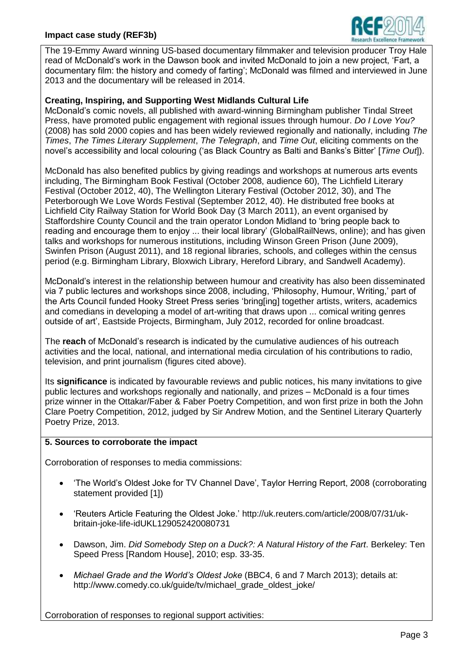

The 19-Emmy Award winning US-based documentary filmmaker and television producer Troy Hale read of McDonald's work in the Dawson book and invited McDonald to join a new project, 'Fart, a documentary film: the history and comedy of farting'; McDonald was filmed and interviewed in June 2013 and the documentary will be released in 2014.

### **Creating, Inspiring, and Supporting West Midlands Cultural Life**

McDonald's comic novels, all published with award-winning Birmingham publisher Tindal Street Press, have promoted public engagement with regional issues through humour. *Do I Love You?*  (2008) has sold 2000 copies and has been widely reviewed regionally and nationally, including *The Times*, *The Times Literary Supplement*, *The Telegraph*, and *Time Out*, eliciting comments on the novel's accessibility and local colouring ('as Black Country as Balti and Banks's Bitter' [*Time Out*]).

McDonald has also benefited publics by giving readings and workshops at numerous arts events including, The Birmingham Book Festival (October 2008, audience 60), The Lichfield Literary Festival (October 2012, 40), The Wellington Literary Festival (October 2012, 30), and The Peterborough We Love Words Festival (September 2012, 40). He distributed free books at Lichfield City Railway Station for World Book Day (3 March 2011), an event organised by Staffordshire County Council and the train operator London Midland to 'bring people back to reading and encourage them to enjoy ... their local library' (GlobalRailNews, online); and has given talks and workshops for numerous institutions, including Winson Green Prison (June 2009), Swinfen Prison (August 2011), and 18 regional libraries, schools, and colleges within the census period (e.g. Birmingham Library, Bloxwich Library, Hereford Library, and Sandwell Academy).

McDonald's interest in the relationship between humour and creativity has also been disseminated via 7 public lectures and workshops since 2008, including, 'Philosophy, Humour, Writing,' part of the Arts Council funded Hooky Street Press series 'bring[ing] together artists, writers, academics and comedians in developing a model of art-writing that draws upon ... comical writing genres outside of art', Eastside Projects, Birmingham, July 2012, recorded for online broadcast.

The **reach** of McDonald's research is indicated by the cumulative audiences of his outreach activities and the local, national, and international media circulation of his contributions to radio, television, and print journalism (figures cited above).

Its **significance** is indicated by favourable reviews and public notices, his many invitations to give public lectures and workshops regionally and nationally, and prizes – McDonald is a four times prize winner in the Ottakar/Faber & Faber Poetry Competition, and won first prize in both the John Clare Poetry Competition, 2012, judged by Sir Andrew Motion, and the Sentinel Literary Quarterly Poetry Prize, 2013.

### **5. Sources to corroborate the impact**

Corroboration of responses to media commissions:

- 'The World's Oldest Joke for TV Channel Dave', Taylor Herring Report, 2008 (corroborating statement provided [1])
- 'Reuters Article Featuring the Oldest Joke.' http://uk.reuters.com/article/2008/07/31/ukbritain-joke-life-idUKL129052420080731
- Dawson, Jim. *Did Somebody Step on a Duck?: A Natural History of the Fart*. Berkeley: Ten Speed Press [Random House], 2010; esp. 33-35.
- *Michael Grade and the World's Oldest Joke* (BBC4, 6 and 7 March 2013); details at: http://www.comedy.co.uk/guide/tv/michael\_grade\_oldest\_joke/

Corroboration of responses to regional support activities: